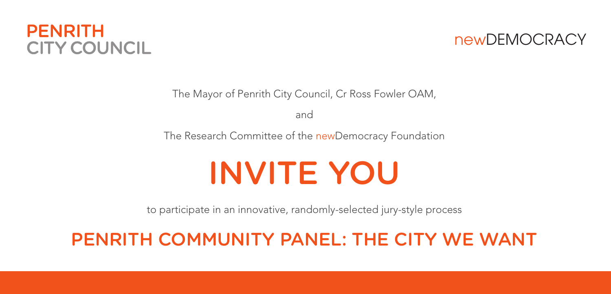#### **PFNRITH CITY COUNCIL**

newDEMOCRACY

The Mayor of Penrith City Council, Cr Ross Fowler OAM,

and

The Research Committee of the newDemocracy Foundation

# INVITE YOU

to participate in an innovative, randomly-selected jury-style process

#### PENRITH COMMUNITY PANEL: THE CITY WE WANT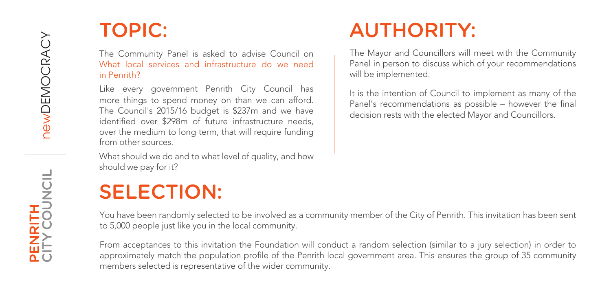## TOPIC:

The Community Panel is asked to advise Council on What local services and infrastructure do we need in Penrith?

Like every government Penrith City Council has more things to spend money on than we can afford. The Council's 2015/16 budget is \$237m and we have identified over \$298m of future infrastructure needs, over the medium to long term, that will require funding from other sources.

What should we do and to what level of quality, and how should we pay for it?

## SELECTION:

## AUTHORITY:

The Mayor and Councillors will meet with the Community Panel in person to discuss which of your recommendations will be implemented.

It is the intention of Council to implement as many of the Panel's recommendations as possible – however the final decision rests with the elected Mayor and Councillors.

You have been randomly selected to be involved as a community member of the City of Penrith. This invitation has been sent to 5,000 people just like you in the local community.

From acceptances to this invitation the Foundation will conduct a random selection (similar to a jury selection) in order to approximately match the population profile of the Penrith local government area. This ensures the group of 35 community members selected is representative of the wider community.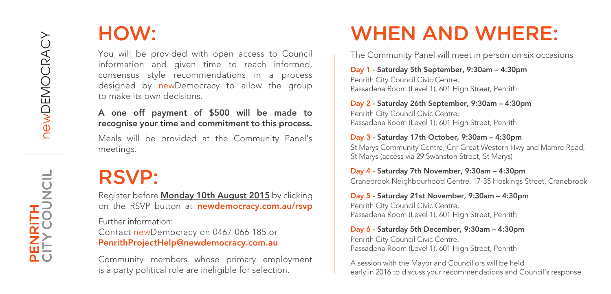#### HOW:

You will be provided with open access to Council information and given time to reach informed, consensus style recommendations in a process designed by newDemocracy to allow the group to make its own decisions.

A one off payment of \$500 will be made to recognise your time and commitment to this process.

Meals will be provided at the Community Panel's meetings.

## RSVP:

Register before Monday 10th August 2015 by clicking on the RSVP button at newdemocracy.com.au/rsvp

Further information: Contact newDemocracy on 0467 066 185 or PenrithProjectHelp@newdemocracy.com.au

Community members whose primary employment is a party political role are ineligible for selection.

## WHEN AND WHERE:

The Community Panel will meet in person on six occasions

Day 1 - Saturday 5th September, 9:30am – 4:30pm Penrith City Council Civic Centre, Passadena Room (Level 1), 601 High Street, Penrith

Day 2 - Saturday 26th September, 9:30am – 4:30pm Penrith City Council Civic Centre, Passadena Room (Level 1), 601 High Street, Penrith

Day 3 - Saturday 17th October, 9:30am – 4:30pm St Marys Community Centre, Cnr Great Western Hwy and Mamre Road, St Marys (access via 29 Swanston Street, St Marys)

Day 4 - Saturday 7th November, 9:30am – 4:30pm Cranebrook Neighbourhood Centre, 17-35 Hoskings Street, Cranebrook

Day 5 - Saturday 21st November, 9:30am – 4:30pm Penrith City Council Civic Centre, Passadena Room (Level 1), 601 High Street, Penrith

Day 6 - Saturday 5th December, 9:30am – 4:30pm Penrith City Council Civic Centre, Passadena Room (Level 1), 601 High Street, Penrith

A session with the Mayor and Councillors will be held early in 2016 to discuss your recommendations and Council's response.